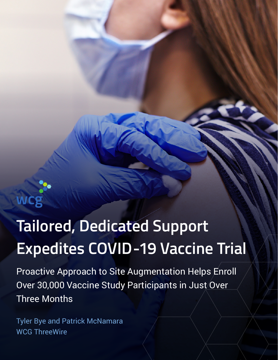

# **Tailored, Dedicated Support Expedites COVID-19 Vaccine Trial**

Proactive Approach to Site Augmentation Helps Enroll Over 30,000 Vaccine Study Participants in Just Over Three Months

Tyler Bye and Patrick McNamara WCG ThreeWire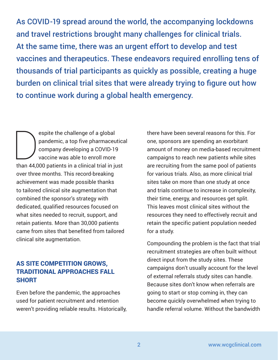As COVID-19 spread around the world, the accompanying lockdowns and travel restrictions brought many challenges for clinical trials. At the same time, there was an urgent effort to develop and test vaccines and therapeutics. These endeavors required enrolling tens of thousands of trial participants as quickly as possible, creating a huge burden on clinical trial sites that were already trying to figure out how to continue work during a global health emergency.

espite the challenge of a global<br>pandemic, a top five pharmaceu<br>company developing a COVID-19<br>vaccine was able to enroll more<br>than 44.000 patients in a clinical trial in it pandemic, a top five pharmaceutical company developing a COVID-19 vaccine was able to enroll more than 44,000 patients in a clinical trial in just over three months. This record-breaking achievement was made possible thanks to tailored clinical site augmentation that combined the sponsor's strategy with dedicated, qualified resources focused on what sites needed to recruit, support, and retain patients. More than 30,000 patients came from sites that benefited from tailored clinical site augmentation.

## AS SITE COMPETITION GROWS, TRADITIONAL APPROACHES FALL **SHORT**

Even before the pandemic, the approaches used for patient recruitment and retention weren't providing reliable results. Historically,

there have been several reasons for this. For one, sponsors are spending an exorbitant amount of money on media-based recruitment campaigns to reach new patients while sites are recruiting from the same pool of patients for various trials. Also, as more clinical trial sites take on more than one study at once and trials continue to increase in complexity, their time, energy, and resources get split. This leaves most clinical sites without the resources they need to effectively recruit and retain the specific patient population needed for a study.

Compounding the problem is the fact that trial recruitment strategies are often built without direct input from the study sites. These campaigns don't usually account for the level of external referrals study sites can handle. Because sites don't know when referrals are going to start or stop coming in, they can become quickly overwhelmed when trying to handle referral volume. Without the bandwidth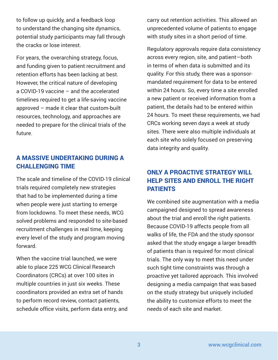to follow up quickly, and a feedback loop to understand the changing site dynamics, potential study participants may fall through the cracks or lose interest.

For years, the overarching strategy, focus, and funding given to patient recruitment and retention efforts has been lacking at best. However, the critical nature of developing a COVID-19 vaccine – and the accelerated timelines required to get a life-saving vaccine approved – made it clear that custom-built resources, technology, and approaches are needed to prepare for the clinical trials of the future.

## A MASSIVE UNDERTAKING DURING A **CHALLENGING TIME**

The scale and timeline of the COVID-19 clinical trials required completely new strategies that had to be implemented during a time when people were just starting to emerge from lockdowns. To meet these needs, WCG solved problems and responded to site-based recruitment challenges in real time, keeping every level of the study and program moving forward.

When the vaccine trial launched, we were able to place 225 WCG Clinical Research Coordinators (CRCs) at over 100 sites in multiple countries in just six weeks. These coordinators provided an extra set of hands to perform record review, contact patients, schedule office visits, perform data entry, and carry out retention activities. This allowed an unprecedented volume of patients to engage with study sites in a short period of time.

Regulatory approvals require data consistency across every region, site, and patient—both in terms of when data is submitted and its quality. For this study, there was a sponsormandated requirement for data to be entered within 24 hours. So, every time a site enrolled a new patient or received information from a patient, the details had to be entered within 24 hours. To meet these requirements, we had CRCs working seven days a week at study sites. There were also multiple individuals at each site who solely focused on preserving data integrity and quality.

# ONLY A PROACTIVE STRATEGY WILL HELP SITES AND ENROLL THE RIGHT PATIENTS

We combined site augmentation with a media campaigned designed to spread awareness about the trial and enroll the right patients. Because COVID-19 affects people from all walks of life, the FDA and the study sponsor asked that the study engage a larger breadth of patients than is required for most clinical trials. The only way to meet this need under such tight time constraints was through a proactive yet tailored approach. This involved designing a media campaign that was based on the study strategy but uniquely included the ability to customize efforts to meet the needs of each site and market.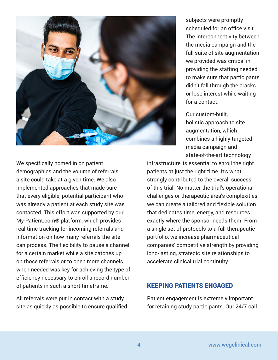

subjects were promptly scheduled for an office visit. The interconnectivity between the media campaign and the full suite of site augmentation we provided was critical in providing the staffing needed to make sure that participants didn't fall through the cracks or lose interest while waiting for a contact.

Our custom-built, holistic approach to site augmentation, which combines a highly targeted media campaign and state-of-the-art technology

We specifically homed in on patient demographics and the volume of referrals a site could take at a given time. We also implemented approaches that made sure that every eligible, potential participant who was already a patient at each study site was contacted. This effort was supported by our My-Patient.com® platform, which provides real-time tracking for incoming referrals and information on how many referrals the site can process. The flexibility to pause a channel for a certain market while a site catches up on those referrals or to open more channels when needed was key for achieving the type of efficiency necessary to enroll a record number of patients in such a short timeframe.

All referrals were put in contact with a study site as quickly as possible to ensure qualified infrastructure, is essential to enroll the right patients at just the right time. It's what strongly contributed to the overall success of this trial. No matter the trial's operational challenges or therapeutic area's complexities, we can create a tailored and flexible solution that dedicates time, energy, and resources exactly where the sponsor needs them. From a single set of protocols to a full therapeutic portfolio, we increase pharmaceutical companies' competitive strength by providing long-lasting, strategic site relationships to accelerate clinical trial continuity.

#### KEEPING PATIENTS ENGAGED

Patient engagement is extremely important for retaining study participants. Our 24/7 call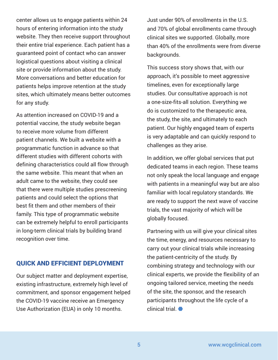center allows us to engage patients within 24 hours of entering information into the study website. They then receive support throughout their entire trial experience. Each patient has a guaranteed point of contact who can answer logistical questions about visiting a clinical site or provide information about the study. More conversations and better education for patients helps improve retention at the study sites, which ultimately means better outcomes for any study.

As attention increased on COVID-19 and a potential vaccine, the study website began to receive more volume from different patient channels. We built a website with a programmatic function in advance so that different studies with different cohorts with defining characteristics could all flow through the same website. This meant that when an adult came to the website, they could see that there were multiple studies prescreening patients and could select the options that best fit them and other members of their family. This type of programmatic website can be extremely helpful to enroll participants in long-term clinical trials by building brand recognition over time.

### QUICK AND EFFICIENT DEPLOYMENT

Our subject matter and deployment expertise, existing infrastructure, extremely high level of commitment, and sponsor engagement helped the COVID-19 vaccine receive an Emergency Use Authorization (EUA) in only 10 months.

Just under 90% of enrollments in the U.S. and 70% of global enrollments came through clinical sites we supported. Globally, more than 40% of the enrollments were from diverse backgrounds.

This success story shows that, with our approach, it's possible to meet aggressive timelines, even for exceptionally large studies. Our consultative approach is not a one-size-fits-all solution. Everything we do is customized to the therapeutic area, the study, the site, and ultimately to each patient. Our highly engaged team of experts is very adaptable and can quickly respond to challenges as they arise.

In addition, we offer global services that put dedicated teams in each region. These teams not only speak the local language and engage with patients in a meaningful way but are also familiar with local regulatory standards. We are ready to support the next wave of vaccine trials, the vast majority of which will be globally focused.

Partnering with us will give your clinical sites the time, energy, and resources necessary to carry out your clinical trials while increasing the patient-centricity of the study. By combining strategy and technology with our clinical experts, we provide the flexibility of an ongoing tailored service, meeting the needs of the site, the sponsor, and the research participants throughout the life cycle of a clinical trial.